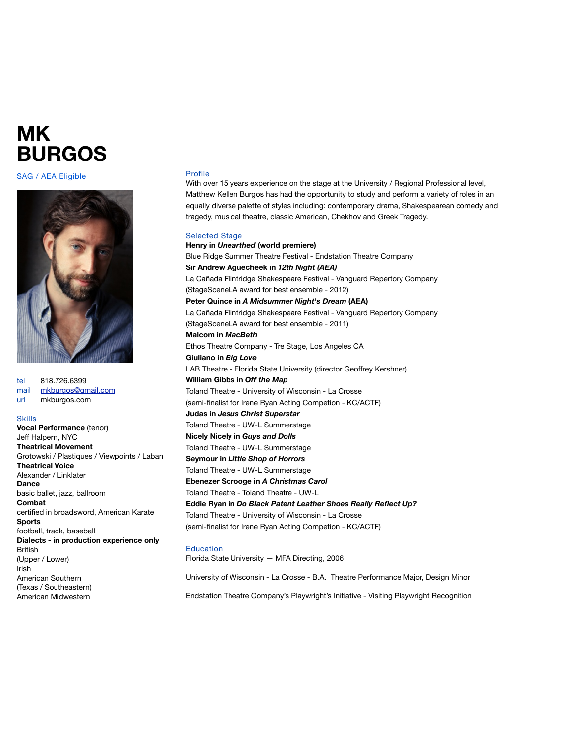## **MK BURGOS**

SAG / AEA Eligible



tel 818.726.6399 mail [mkburgos@gmail.com](mailto:mkburgos@gmail.com) url mkburgos.com

Skills

## **Vocal Performance** (tenor) Jeff Halpern, NYC **Theatrical Movement** Grotowski / Plastiques / Viewpoints / Laban **Theatrical Voice** Alexander / Linklater **Dance** basic ballet, jazz, ballroom **Combat** certified in broadsword, American Karate **Sports** football, track, baseball **Dialects - in production experience only British** (Upper / Lower) Irish American Southern (Texas / Southeastern) American Midwestern

## Profile

With over 15 years experience on the stage at the University / Regional Professional level, Matthew Kellen Burgos has had the opportunity to study and perform a variety of roles in an equally diverse palette of styles including: contemporary drama, Shakespearean comedy and tragedy, musical theatre, classic American, Chekhov and Greek Tragedy.

Selected Stage **Henry in** *Unearthed* **(world premiere)** Blue Ridge Summer Theatre Festival - Endstation Theatre Company **Sir Andrew Aguecheek in** *12th Night (AEA)* La Cañada Flintridge Shakespeare Festival - Vanguard Repertory Company (StageSceneLA award for best ensemble - 2012) **Peter Quince in** *A Midsummer Night's Dream* **(AEA)** La Cañada Flintridge Shakespeare Festival - Vanguard Repertory Company (StageSceneLA award for best ensemble - 2011) **Malcom in** *MacBeth* Ethos Theatre Company - Tre Stage, Los Angeles CA **Giuliano in** *Big Love* LAB Theatre - Florida State University (director Geoffrey Kershner) **William Gibbs in** *Off the Map* Toland Theatre - University of Wisconsin - La Crosse (semi-finalist for Irene Ryan Acting Competion - KC/ACTF) **Judas in** *Jesus Christ Superstar* Toland Theatre - UW-L Summerstage **Nicely Nicely in** *Guys and Dolls* Toland Theatre - UW-L Summerstage **Seymour in** *Little Shop of Horrors* Toland Theatre - UW-L Summerstage **Ebenezer Scrooge in** *A Christmas Carol* Toland Theatre - Toland Theatre - UW-L **Eddie Ryan in** *Do Black Patent Leather Shoes Really Reflect Up?* Toland Theatre - University of Wisconsin - La Crosse (semi-finalist for Irene Ryan Acting Competion - KC/ACTF)

## Education

Florida State University — MFA Directing, 2006

University of Wisconsin - La Crosse - B.A. Theatre Performance Major, Design Minor

Endstation Theatre Company's Playwright's Initiative - Visiting Playwright Recognition